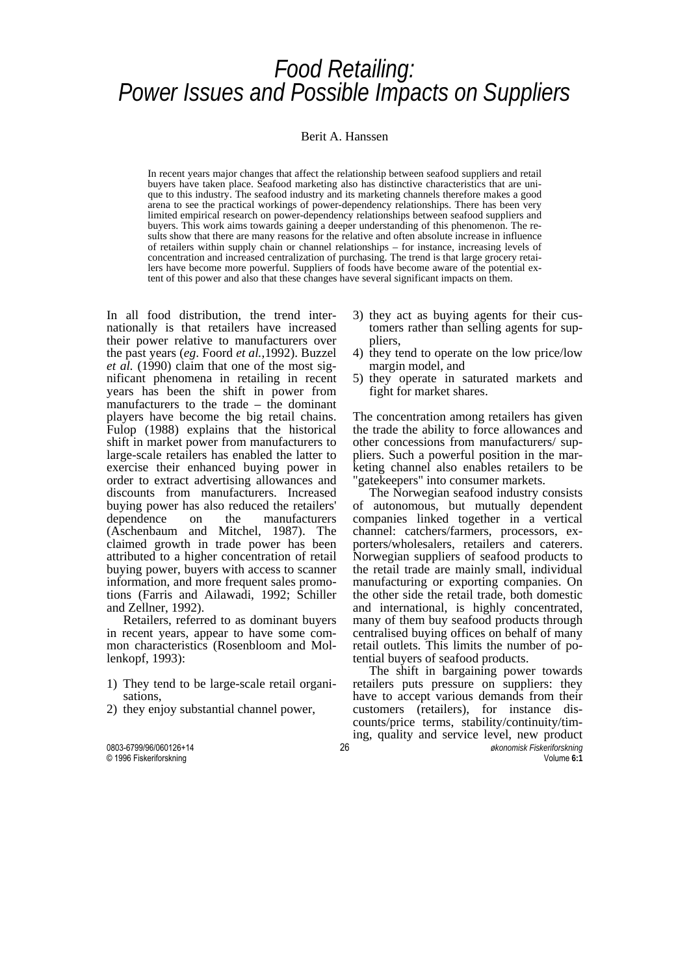# *Food Retailing:<br>Power Issues and Possible Impacts on Suppliers*

#### Berit A. Hanssen

In recent years major changes that affect the relationship between seafood suppliers and retail buyers have taken place. Seafood marketing also has distinctive characteristics that are unique to this industry. The seafood industry and its marketing channels therefore makes a good arena to see the practical workings of power-dependency relationships. There has been very limited empirical research on power-dependency relationships between seafood suppliers and buyers. This work aims towards gaining a deeper understanding of this phenomenon. The results show that there are many reasons for the relative and often absolute increase in influence of retailers within supply chain or channel relationships – for instance, increasing levels of concentration and increased centralization of purchasing. The trend is that large grocery retailers have become more powerful. Suppliers of foods have become aware of the potential extent of this power and also that these changes have several significant impacts on them.

In all food distribution, the trend internationally is that retailers have increased their power relative to manufacturers over the past years (*eg*. Foord *et al.*,1992). Buzzel *et al.* (1990) claim that one of the most significant phenomena in retailing in recent years has been the shift in power from manufacturers to the trade – the dominant players have become the big retail chains. Fulop (1988) explains that the historical shift in market power from manufacturers to large-scale retailers has enabled the latter to exercise their enhanced buying power in order to extract advertising allowances and discounts from manufacturers. Increased buying power has also reduced the retailers' dependence on the manufacturers (Aschenbaum and Mitchel, 1987). The claimed growth in trade power has been attributed to a higher concentration of retail buying power, buyers with access to scanner information, and more frequent sales promotions (Farris and Ailawadi, 1992; Schiller and Zellner, 1992).

 Retailers, referred to as dominant buyers in recent years, appear to have some common characteristics (Rosenbloom and Mollenkopf, 1993):

- 1) They tend to be large-scale retail organisations,
- 2) they enjoy substantial channel power,
- © 1996 Fiskeriforskning Volume **6:1**
- 3) they act as buying agents for their customers rather than selling agents for suppliers,
- 4) they tend to operate on the low price/low margin model, and
- 5) they operate in saturated markets and fight for market shares.

The concentration among retailers has given the trade the ability to force allowances and other concessions from manufacturers/ suppliers. Such a powerful position in the marketing channel also enables retailers to be "gatekeepers" into consumer markets.

 The Norwegian seafood industry consists of autonomous, but mutually dependent companies linked together in a vertical channel: catchers/farmers, processors, exporters/wholesalers, retailers and caterers. Norwegian suppliers of seafood products to the retail trade are mainly small, individual manufacturing or exporting companies. On the other side the retail trade, both domestic and international, is highly concentrated, many of them buy seafood products through centralised buying offices on behalf of many retail outlets. This limits the number of potential buyers of seafood products.

0803-6799/96/060126+14 26 *økonomisk Fiskeriforskning* The shift in bargaining power towards retailers puts pressure on suppliers: they have to accept various demands from their customers (retailers), for instance discounts/price terms, stability/continuity/timing, quality and service level, new product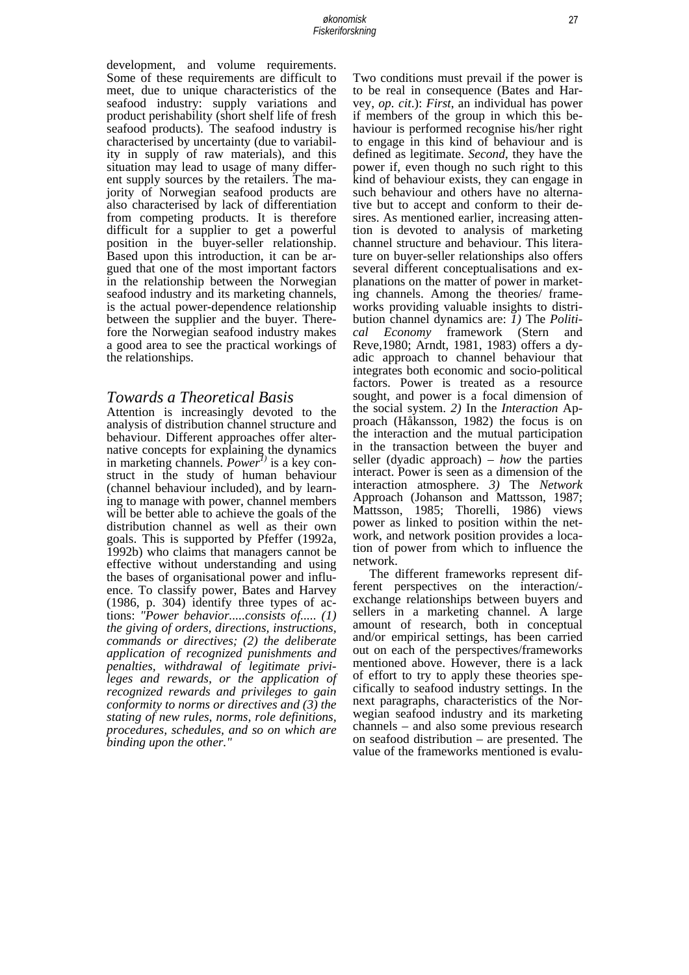development, and volume requirements. Some of these requirements are difficult to meet, due to unique characteristics of the seafood industry: supply variations and product perishability (short shelf life of fresh seafood products). The seafood industry is characterised by uncertainty (due to variability in supply of raw materials), and this situation may lead to usage of many different supply sources by the retailers. The majority of Norwegian seafood products are also characterised by lack of differentiation from competing products. It is therefore difficult for a supplier to get a powerful position in the buyer-seller relationship. Based upon this introduction, it can be argued that one of the most important factors in the relationship between the Norwegian seafood industry and its marketing channels, is the actual power-dependence relationship between the supplier and the buyer. Therefore the Norwegian seafood industry makes a good area to see the practical workings of the relationships.

#### *Towards a Theoretical Basis*

Attention is increasingly devoted to the analysis of distribution channel structure and behaviour. Different approaches offer alternative concepts for explaining the dynamics in marketing channels. *Power[1\)](#page-13-0)* is a key construct in the study of human behaviour (channel behaviour included), and by learning to manage with power, channel members will be better able to achieve the goals of the distribution channel as well as their own goals. This is supported by Pfeffer (1992a, 1992b) who claims that managers cannot be effective without understanding and using the bases of organisational power and influence. To classify power, Bates and Harvey (1986, p. 304) identify three types of actions: *"Power behavior.....consists of..... (1) the giving of orders, directions, instructions, commands or directives; (2) the deliberate application of recognized punishments and penalties, withdrawal of legitimate privileges and rewards, or the application of recognized rewards and privileges to gain conformity to norms or directives and (3) the stating of new rules, norms, role definitions, procedures, schedules, and so on which are binding upon the other."* 

Two conditions must prevail if the power is to be real in consequence (Bates and Harvey, *op. cit*.): *First*, an individual has power if members of the group in which this behaviour is performed recognise his/her right to engage in this kind of behaviour and is defined as legitimate. *Second*, they have the power if, even though no such right to this kind of behaviour exists, they can engage in such behaviour and others have no alternative but to accept and conform to their desires. As mentioned earlier, increasing attention is devoted to analysis of marketing channel structure and behaviour. This literature on buyer-seller relationships also offers several different conceptualisations and explanations on the matter of power in marketing channels. Among the theories/ frameworks providing valuable insights to distribution channel dynamics are: *1)* The *Political Economy* framework (Stern and Reve,1980; Arndt, 1981, 1983) offers a dyadic approach to channel behaviour that integrates both economic and socio-political factors. Power is treated as a resource sought, and power is a focal dimension of the social system. *2)* In the *Interaction* Approach (Håkansson, 1982) the focus is on the interaction and the mutual participation in the transaction between the buyer and seller (dyadic approach) – *how* the parties interact. Power is seen as a dimension of the interaction atmosphere. *3)* The *Network* Approach (Johanson and Mattsson, 1987; Mattsson, 1985; Thorelli, 1986) views power as linked to position within the network, and network position provides a location of power from which to influence the network.

 The different frameworks represent different perspectives on the interaction/ exchange relationships between buyers and sellers in a marketing channel. A large amount of research, both in conceptual and/or empirical settings, has been carried out on each of the perspectives/frameworks mentioned above. However, there is a lack of effort to try to apply these theories specifically to seafood industry settings. In the next paragraphs, characteristics of the Norwegian seafood industry and its marketing channels – and also some previous research on seafood distribution – are presented. The value of the frameworks mentioned is evalu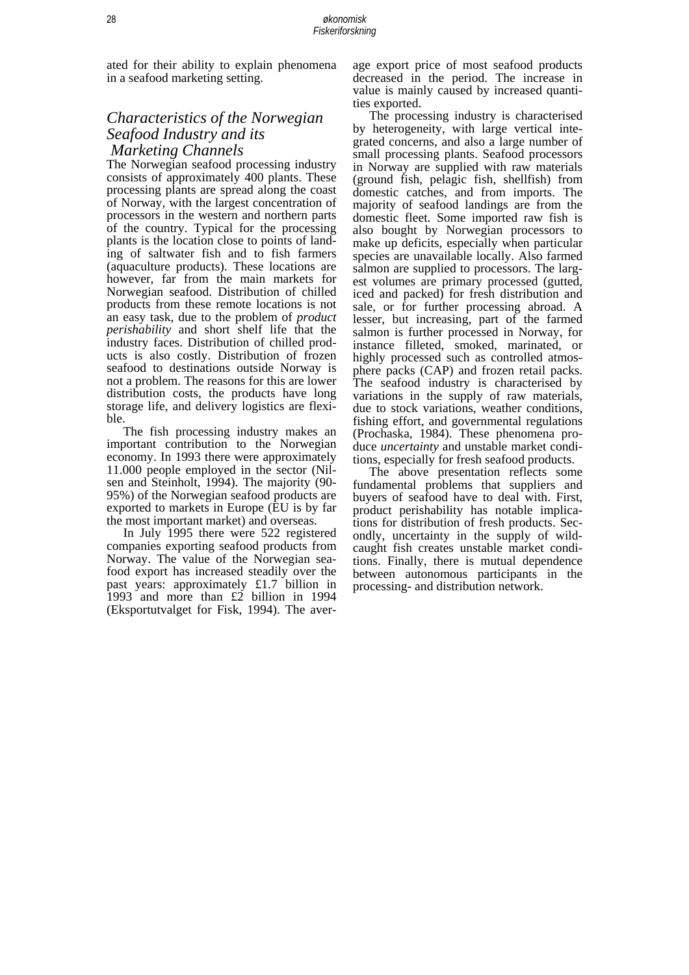ated for their ability to explain phenomena in a seafood marketing setting.

#### *Characteristics of the Norwegian Seafood Industry and its Marketing Channels*

The Norwegian seafood processing industry consists of approximately 400 plants. These processing plants are spread along the coast of Norway, with the largest concentration of processors in the western and northern parts of the country. Typical for the processing plants is the location close to points of landing of saltwater fish and to fish farmers (aquaculture products). These locations are however, far from the main markets for Norwegian seafood. Distribution of chilled products from these remote locations is not an easy task, due to the problem of *product perishability* and short shelf life that the industry faces. Distribution of chilled products is also costly. Distribution of frozen seafood to destinations outside Norway is not a problem. The reasons for this are lower distribution costs, the products have long storage life, and delivery logistics are flexible.

 The fish processing industry makes an important contribution to the Norwegian economy. In 1993 there were approximately 11.000 people employed in the sector (Nilsen and Steinholt, 1994). The majority (90- 95%) of the Norwegian seafood products are exported to markets in Europe (EU is by far the most important market) and overseas.

 In July 1995 there were 522 registered companies exporting seafood products from Norway. The value of the Norwegian seafood export has increased steadily over the past years: approximately £1.7 billion in 1993 and more than £2 billion in 1994 (Eksportutvalget for Fisk, 1994). The average export price of most seafood products decreased in the period. The increase in value is mainly caused by increased quantities exported.

 The processing industry is characterised by heterogeneity, with large vertical integrated concerns, and also a large number of small processing plants. Seafood processors in Norway are supplied with raw materials (ground fish, pelagic fish, shellfish) from domestic catches, and from imports. The majority of seafood landings are from the domestic fleet. Some imported raw fish is also bought by Norwegian processors to make up deficits, especially when particular species are unavailable locally. Also farmed salmon are supplied to processors. The largest volumes are primary processed (gutted, iced and packed) for fresh distribution and sale, or for further processing abroad. A lesser, but increasing, part of the farmed salmon is further processed in Norway, for instance filleted, smoked, marinated, or highly processed such as controlled atmosphere packs (CAP) and frozen retail packs. The seafood industry is characterised by variations in the supply of raw materials, due to stock variations, weather conditions, fishing effort, and governmental regulations (Prochaska, 1984). These phenomena produce *uncertainty* and unstable market conditions, especially for fresh seafood products.

 The above presentation reflects some fundamental problems that suppliers and buyers of seafood have to deal with. First, product perishability has notable implications for distribution of fresh products. Secondly, uncertainty in the supply of wildcaught fish creates unstable market conditions. Finally, there is mutual dependence between autonomous participants in the processing- and distribution network.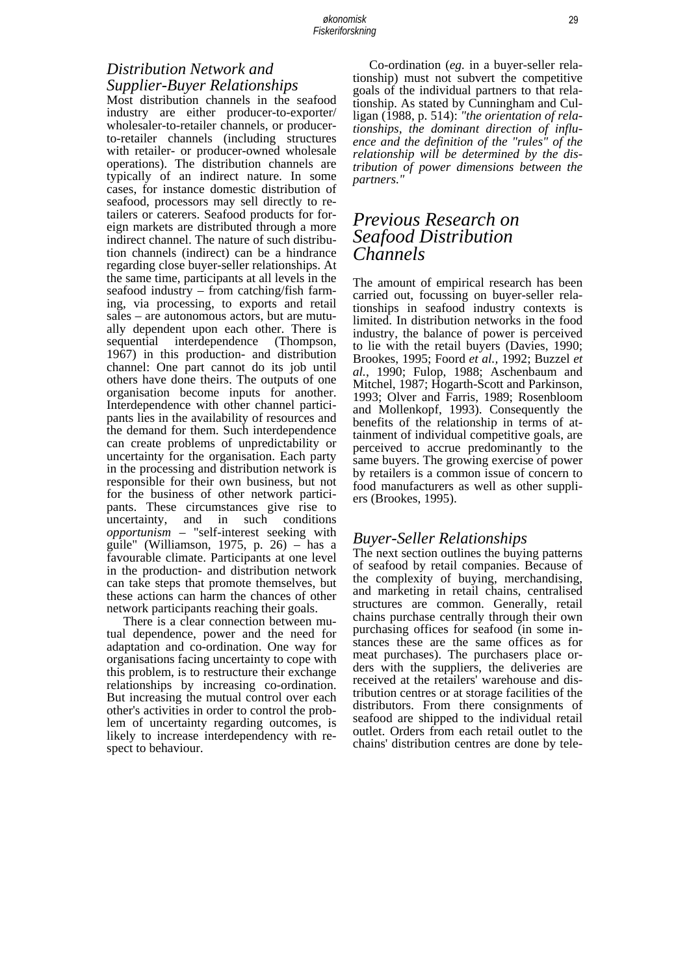# *Distribution Network and Supplier-Buyer Relationships*

Most distribution channels in the seafood industry are either producer-to-exporter/ wholesaler-to-retailer channels, or producerto-retailer channels (including structures with retailer- or producer-owned wholesale operations). The distribution channels are typically of an indirect nature. In some cases, for instance domestic distribution of seafood, processors may sell directly to retailers or caterers. Seafood products for foreign markets are distributed through a more indirect channel. The nature of such distribution channels (indirect) can be a hindrance regarding close buyer-seller relationships. At the same time, participants at all levels in the seafood industry – from catching/fish farming, via processing, to exports and retail sales – are autonomous actors, but are mutually dependent upon each other. There is sequential interdependence (Thompson, 1967) in this production- and distribution channel: One part cannot do its job until others have done theirs. The outputs of one organisation become inputs for another. Interdependence with other channel participants lies in the availability of resources and the demand for them. Such interdependence can create problems of unpredictability or uncertainty for the organisation. Each party in the processing and distribution network is responsible for their own business, but not for the business of other network participants. These circumstances give rise to uncertainty, and in such conditions *opportunism* – "self-interest seeking with guile" (Williamson, 1975, p. 26) – has a favourable climate. Participants at one level in the production- and distribution network can take steps that promote themselves, but these actions can harm the chances of other network participants reaching their goals.

 There is a clear connection between mutual dependence, power and the need for adaptation and co-ordination. One way for organisations facing uncertainty to cope with this problem, is to restructure their exchange relationships by increasing co-ordination. But increasing the mutual control over each other's activities in order to control the problem of uncertainty regarding outcomes, is likely to increase interdependency with respect to behaviour.

 Co-ordination (*eg.* in a buyer-seller relationship) must not subvert the competitive goals of the individual partners to that relationship. As stated by Cunningham and Culligan (1988, p. 514): *"the orientation of relationships, the dominant direction of influence and the definition of the "rules" of the relationship will be determined by the distribution of power dimensions between the partners."*

## *Previous Research on Seafood Distribution Channels*

The amount of empirical research has been carried out, focussing on buyer-seller relationships in seafood industry contexts is limited. In distribution networks in the food industry, the balance of power is perceived to lie with the retail buyers (Davies, 1990; Brookes, 1995; Foord *et al.,* 1992; Buzzel *et al.*, 1990; Fulop, 1988; Aschenbaum and Mitchel, 1987; Hogarth-Scott and Parkinson, 1993; Olver and Farris, 1989; Rosenbloom and Mollenkopf, 1993). Consequently the benefits of the relationship in terms of attainment of individual competitive goals, are perceived to accrue predominantly to the same buyers. The growing exercise of power by retailers is a common issue of concern to food manufacturers as well as other suppliers (Brookes, 1995).

#### *Buyer-Seller Relationships*

The next section outlines the buying patterns of seafood by retail companies. Because of the complexity of buying, merchandising, and marketing in retail chains, centralised structures are common. Generally, retail chains purchase centrally through their own purchasing offices for seafood (in some instances these are the same offices as for meat purchases). The purchasers place orders with the suppliers, the deliveries are received at the retailers' warehouse and distribution centres or at storage facilities of the distributors. From there consignments of seafood are shipped to the individual retail outlet. Orders from each retail outlet to the chains' distribution centres are done by tele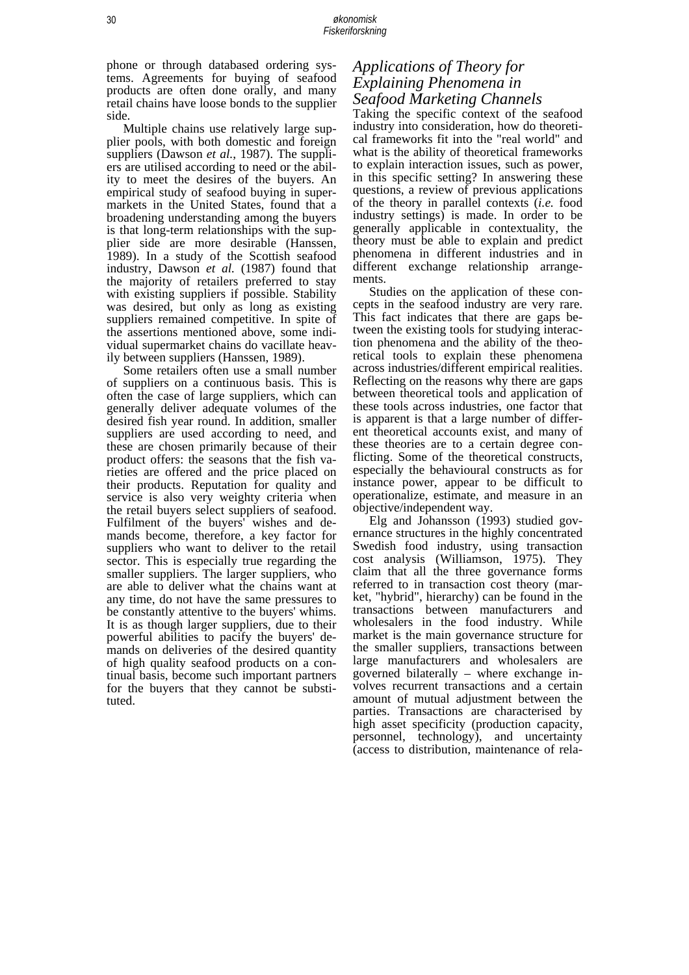phone or through databased ordering systems. Agreements for buying of seafood products are often done orally, and many retail chains have loose bonds to the supplier side.

 Multiple chains use relatively large supplier pools, with both domestic and foreign suppliers (Dawson *et al.*, 1987). The suppliers are utilised according to need or the ability to meet the desires of the buyers. An empirical study of seafood buying in supermarkets in the United States, found that a broadening understanding among the buyers is that long-term relationships with the supplier side are more desirable (Hanssen, 1989). In a study of the Scottish seafood industry, Dawson *et al.* (1987) found that the majority of retailers preferred to stay with existing suppliers if possible. Stability was desired, but only as long as existing suppliers remained competitive. In spite of the assertions mentioned above, some individual supermarket chains do vacillate heavily between suppliers (Hanssen, 1989).

 Some retailers often use a small number of suppliers on a continuous basis. This is often the case of large suppliers, which can generally deliver adequate volumes of the desired fish year round. In addition, smaller suppliers are used according to need, and these are chosen primarily because of their product offers: the seasons that the fish varieties are offered and the price placed on their products. Reputation for quality and service is also very weighty criteria when the retail buyers select suppliers of seafood. Fulfilment of the buyers' wishes and demands become, therefore, a key factor for suppliers who want to deliver to the retail sector. This is especially true regarding the smaller suppliers. The larger suppliers, who are able to deliver what the chains want at any time, do not have the same pressures to be constantly attentive to the buyers' whims. It is as though larger suppliers, due to their powerful abilities to pacify the buyers' demands on deliveries of the desired quantity of high quality seafood products on a continual basis, become such important partners for the buyers that they cannot be substituted.

## *Applications of Theory for Explaining Phenomena in Seafood Marketing Channels*

Taking the specific context of the seafood industry into consideration, how do theoretical frameworks fit into the "real world" and what is the ability of theoretical frameworks to explain interaction issues, such as power, in this specific setting? In answering these questions, a review of previous applications of the theory in parallel contexts (*i.e.* food industry settings) is made. In order to be generally applicable in contextuality, the theory must be able to explain and predict phenomena in different industries and in different exchange relationship arrangements.

 Studies on the application of these concepts in the seafood industry are very rare. This fact indicates that there are gaps between the existing tools for studying interaction phenomena and the ability of the theoretical tools to explain these phenomena across industries/different empirical realities. Reflecting on the reasons why there are gaps between theoretical tools and application of these tools across industries, one factor that is apparent is that a large number of different theoretical accounts exist, and many of these theories are to a certain degree conflicting. Some of the theoretical constructs, especially the behavioural constructs as for instance power, appear to be difficult to operationalize, estimate, and measure in an objective/independent way.

 Elg and Johansson (1993) studied governance structures in the highly concentrated Swedish food industry, using transaction cost analysis (Williamson, 1975). They claim that all the three governance forms referred to in transaction cost theory (market, "hybrid", hierarchy) can be found in the transactions between manufacturers and wholesalers in the food industry. While market is the main governance structure for the smaller suppliers, transactions between large manufacturers and wholesalers are governed bilaterally – where exchange involves recurrent transactions and a certain amount of mutual adjustment between the parties. Transactions are characterised by high asset specificity (production capacity, personnel, technology), and uncertainty (access to distribution, maintenance of rela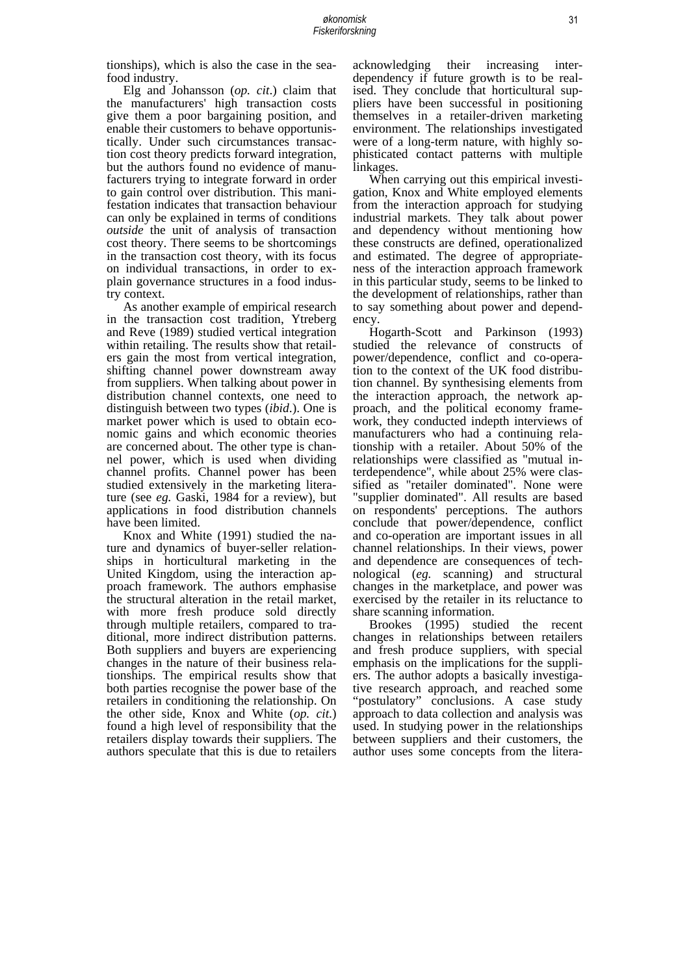tionships), which is also the case in the seafood industry.

 Elg and Johansson (*op. cit*.) claim that the manufacturers' high transaction costs give them a poor bargaining position, and enable their customers to behave opportunistically. Under such circumstances transaction cost theory predicts forward integration, but the authors found no evidence of manufacturers trying to integrate forward in order to gain control over distribution. This manifestation indicates that transaction behaviour can only be explained in terms of conditions *outside* the unit of analysis of transaction cost theory. There seems to be shortcomings in the transaction cost theory, with its focus on individual transactions, in order to explain governance structures in a food industry context.

 As another example of empirical research in the transaction cost tradition, Ytreberg and Reve (1989) studied vertical integration within retailing. The results show that retailers gain the most from vertical integration, shifting channel power downstream away from suppliers. When talking about power in distribution channel contexts, one need to distinguish between two types (*ibid*.). One is market power which is used to obtain economic gains and which economic theories are concerned about. The other type is channel power, which is used when dividing channel profits. Channel power has been studied extensively in the marketing literature (see *eg.* Gaski, 1984 for a review), but applications in food distribution channels have been limited.

 Knox and White (1991) studied the nature and dynamics of buyer-seller relationships in horticultural marketing in the United Kingdom, using the interaction approach framework. The authors emphasise the structural alteration in the retail market, with more fresh produce sold directly through multiple retailers, compared to traditional, more indirect distribution patterns. Both suppliers and buyers are experiencing changes in the nature of their business relationships. The empirical results show that both parties recognise the power base of the retailers in conditioning the relationship. On the other side, Knox and White (*op. cit*.) found a high level of responsibility that the retailers display towards their suppliers. The authors speculate that this is due to retailers acknowledging their increasing interdependency if future growth is to be realised. They conclude that horticultural suppliers have been successful in positioning themselves in a retailer-driven marketing environment. The relationships investigated were of a long-term nature, with highly sophisticated contact patterns with multiple linkages.

 When carrying out this empirical investigation, Knox and White employed elements from the interaction approach for studying industrial markets. They talk about power and dependency without mentioning how these constructs are defined, operationalized and estimated. The degree of appropriateness of the interaction approach framework in this particular study, seems to be linked to the development of relationships, rather than to say something about power and dependency.

 Hogarth-Scott and Parkinson (1993) studied the relevance of constructs of power/dependence, conflict and co-operation to the context of the UK food distribution channel. By synthesising elements from the interaction approach, the network approach, and the political economy framework, they conducted indepth interviews of manufacturers who had a continuing relationship with a retailer. About 50% of the relationships were classified as "mutual interdependence", while about 25% were classified as "retailer dominated". None were "supplier dominated". All results are based on respondents' perceptions. The authors conclude that power/dependence, conflict and co-operation are important issues in all channel relationships. In their views, power and dependence are consequences of technological (*eg.* scanning) and structural changes in the marketplace, and power was exercised by the retailer in its reluctance to share scanning information.

 Brookes (1995) studied the recent changes in relationships between retailers and fresh produce suppliers, with special emphasis on the implications for the suppliers. The author adopts a basically investigative research approach, and reached some "postulatory" conclusions. A case study approach to data collection and analysis was used. In studying power in the relationships between suppliers and their customers, the author uses some concepts from the litera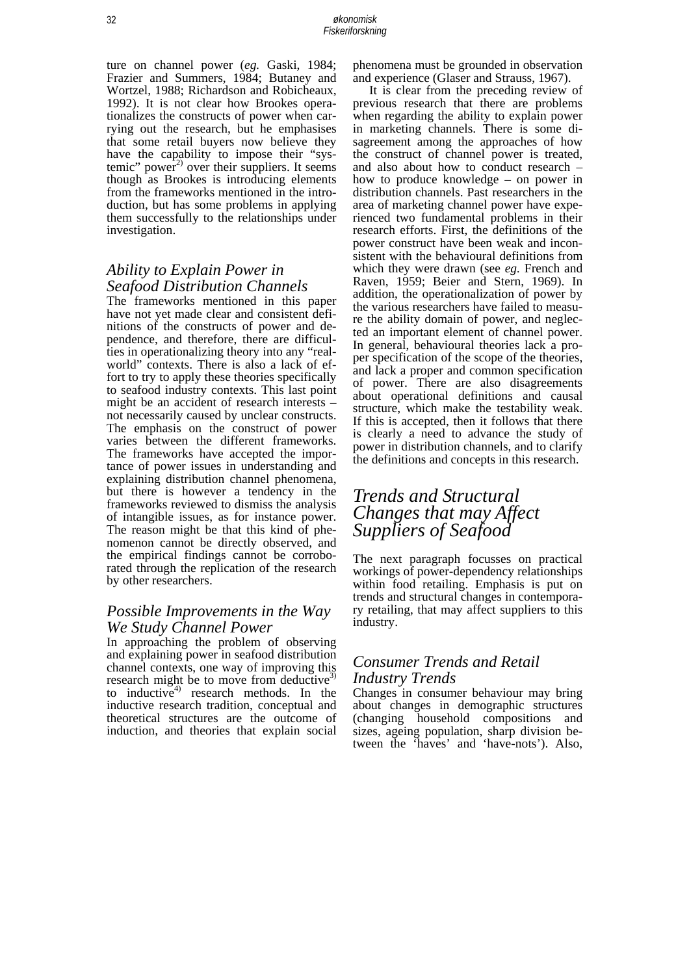ture on channel power (*eg.* Gaski, 1984; Frazier and Summers, 1984; Butaney and Wortzel, 1988; Richardson and Robicheaux, 1992). It is not clear how Brookes operationalizes the constructs of power when carrying out the research, but he emphasises that some retail buyers now believe they have the capability to impose their "systemic" power<sup>2)</sup> over their suppliers. It seems though as Brookes is introducing elements from the frameworks mentioned in the introduction, but has some problems in applying them successfully to the relationships under investigation.

## *Ability to Explain Power in Seafood Distribution Channels*

The frameworks mentioned in this paper have not yet made clear and consistent definitions of the constructs of power and dependence, and therefore, there are difficulties in operationalizing theory into any "realworld" contexts. There is also a lack of effort to try to apply these theories specifically to seafood industry contexts. This last point might be an accident of research interests – not necessarily caused by unclear constructs. The emphasis on the construct of power varies between the different frameworks. The frameworks have accepted the importance of power issues in understanding and explaining distribution channel phenomena, but there is however a tendency in the frameworks reviewed to dismiss the analysis of intangible issues, as for instance power. The reason might be that this kind of phenomenon cannot be directly observed, and the empirical findings cannot be corroborated through the replication of the research by other researchers.

#### *Possible Improvements in the Way We Study Channel Power*

In approaching the problem of observing and explaining power in seafood distribution channel contexts, one way of improving this research might be to move from deductive<sup>3)</sup> to inductive<sup>4)</sup> research methods. In the inductive research tradition, conceptual and theoretical structures are the outcome of induction, and theories that explain social

phenomena must be grounded in observation and experience (Glaser and Strauss, 1967).

 It is clear from the preceding review of previous research that there are problems when regarding the ability to explain power in marketing channels. There is some disagreement among the approaches of how the construct of channel power is treated, and also about how to conduct research – how to produce knowledge – on power in distribution channels. Past researchers in the area of marketing channel power have experienced two fundamental problems in their research efforts. First, the definitions of the power construct have been weak and inconsistent with the behavioural definitions from which they were drawn (see *eg.* French and Raven, 1959; Beier and Stern, 1969). In addition, the operationalization of power by the various researchers have failed to measure the ability domain of power, and neglected an important element of channel power. In general, behavioural theories lack a proper specification of the scope of the theories, and lack a proper and common specification of power. There are also disagreements about operational definitions and causal structure, which make the testability weak. If this is accepted, then it follows that there is clearly a need to advance the study of power in distribution channels, and to clarify the definitions and concepts in this research.

# *Trends and Structural Changes that may Affect Suppliers of Seafood*

The next paragraph focusses on practical workings of power-dependency relationships within food retailing. Emphasis is put on trends and structural changes in contemporary retailing, that may affect suppliers to this industry.

## *Consumer Trends and Retail Industry Trends*

Changes in consumer behaviour may bring about changes in demographic structures (changing household compositions and sizes, ageing population, sharp division between the 'haves' and 'have-nots'). Also,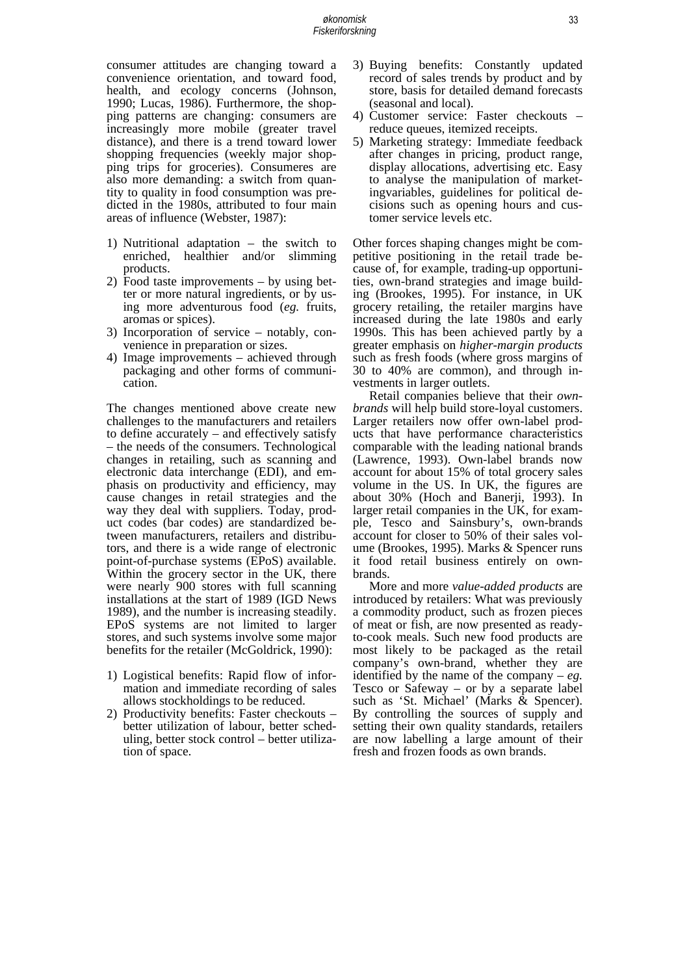consumer attitudes are changing toward a convenience orientation, and toward food, health, and ecology concerns (Johnson, 1990; Lucas, 1986). Furthermore, the shopping patterns are changing: consumers are increasingly more mobile (greater travel distance), and there is a trend toward lower shopping frequencies (weekly major shopping trips for groceries). Consumeres are also more demanding: a switch from quantity to quality in food consumption was predicted in the 1980s, attributed to four main areas of influence (Webster, 1987):

- 1) Nutritional adaptation the switch to enriched, healthier and/or slimming products.
- 2) Food taste improvements by using better or more natural ingredients, or by using more adventurous food (*eg.* fruits, aromas or spices).
- 3) Incorporation of service notably, convenience in preparation or sizes.
- 4) Image improvements achieved through packaging and other forms of communication.

The changes mentioned above create new challenges to the manufacturers and retailers to define accurately – and effectively satisfy – the needs of the consumers. Technological changes in retailing, such as scanning and electronic data interchange (EDI), and emphasis on productivity and efficiency, may cause changes in retail strategies and the way they deal with suppliers. Today, product codes (bar codes) are standardized between manufacturers, retailers and distributors, and there is a wide range of electronic point-of-purchase systems (EPoS) available. Within the grocery sector in the UK, there were nearly 900 stores with full scanning installations at the start of 1989 (IGD News 1989), and the number is increasing steadily. EPoS systems are not limited to larger stores, and such systems involve some major benefits for the retailer (McGoldrick, 1990):

- 1) Logistical benefits: Rapid flow of information and immediate recording of sales allows stockholdings to be reduced.
- 2) Productivity benefits: Faster checkouts better utilization of labour, better scheduling, better stock control – better utilization of space.
- 3) Buying benefits: Constantly updated record of sales trends by product and by store, basis for detailed demand forecasts (seasonal and local).
- 4) Customer service: Faster checkouts reduce queues, itemized receipts.
- 5) Marketing strategy: Immediate feedback after changes in pricing, product range, display allocations, advertising etc. Easy to analyse the manipulation of marketingvariables, guidelines for political decisions such as opening hours and customer service levels etc.

Other forces shaping changes might be competitive positioning in the retail trade because of, for example, trading-up opportunities, own-brand strategies and image building (Brookes, 1995). For instance, in UK grocery retailing, the retailer margins have increased during the late 1980s and early 1990s. This has been achieved partly by a greater emphasis on *higher-margin products* such as fresh foods (where gross margins of 30 to 40% are common), and through investments in larger outlets.

 Retail companies believe that their *ownbrands* will help build store-loyal customers. Larger retailers now offer own-label products that have performance characteristics comparable with the leading national brands (Lawrence, 1993). Own-label brands now account for about 15% of total grocery sales volume in the US. In UK, the figures are about 30% (Hoch and Banerji, 1993). In larger retail companies in the UK, for example, Tesco and Sainsbury's, own-brands account for closer to 50% of their sales volume (Brookes, 1995). Marks & Spencer runs it food retail business entirely on ownbrands.

 More and more *value-added products* are introduced by retailers: What was previously a commodity product, such as frozen pieces of meat or fish, are now presented as readyto-cook meals. Such new food products are most likely to be packaged as the retail company's own-brand, whether they are identified by the name of the company –  $eg$ . Tesco or Safeway – or by a separate label such as 'St. Michael' (Marks & Spencer). By controlling the sources of supply and setting their own quality standards, retailers are now labelling a large amount of their fresh and frozen foods as own brands.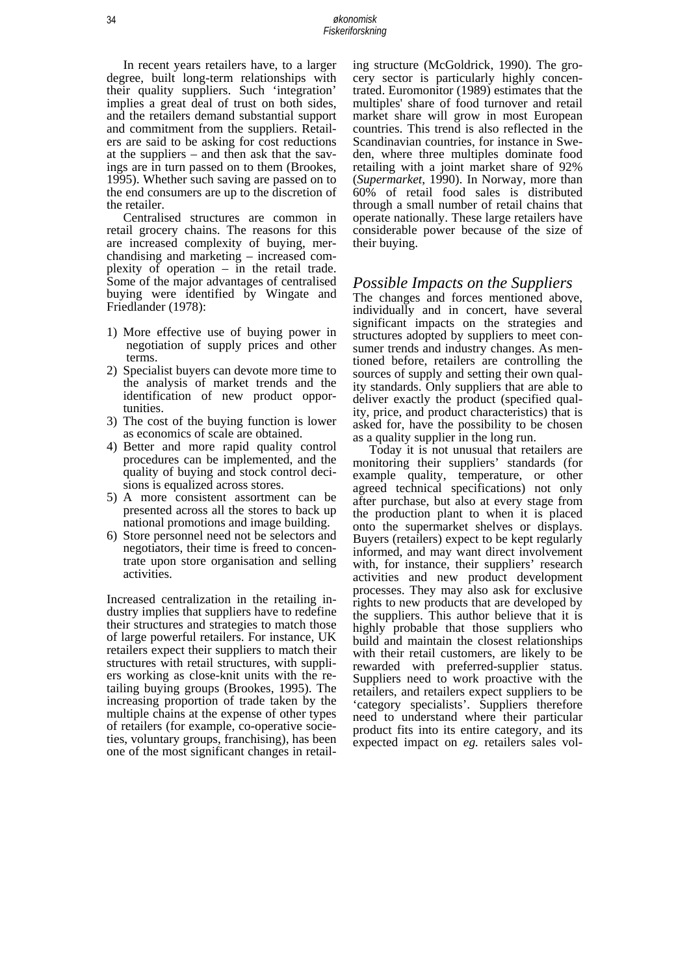In recent years retailers have, to a larger degree, built long-term relationships with their quality suppliers. Such 'integration' implies a great deal of trust on both sides, and the retailers demand substantial support and commitment from the suppliers. Retailers are said to be asking for cost reductions at the suppliers – and then ask that the savings are in turn passed on to them (Brookes, 1995). Whether such saving are passed on to the end consumers are up to the discretion of the retailer.

 Centralised structures are common in retail grocery chains. The reasons for this are increased complexity of buying, merchandising and marketing – increased complexity of operation – in the retail trade. Some of the major advantages of centralised buying were identified by Wingate and Friedlander (1978):

- 1) More effective use of buying power in negotiation of supply prices and other terms.
- 2) Specialist buyers can devote more time to the analysis of market trends and the identification of new product opportunities.
- 3) The cost of the buying function is lower as economics of scale are obtained.
- 4) Better and more rapid quality control procedures can be implemented, and the quality of buying and stock control decisions is equalized across stores.
- 5) A more consistent assortment can be presented across all the stores to back up national promotions and image building.
- 6) Store personnel need not be selectors and negotiators, their time is freed to concentrate upon store organisation and selling activities.

Increased centralization in the retailing industry implies that suppliers have to redefine their structures and strategies to match those of large powerful retailers. For instance, UK retailers expect their suppliers to match their structures with retail structures, with suppliers working as close-knit units with the retailing buying groups (Brookes, 1995). The increasing proportion of trade taken by the multiple chains at the expense of other types of retailers (for example, co-operative societies, voluntary groups, franchising), has been one of the most significant changes in retailing structure (McGoldrick, 1990). The grocery sector is particularly highly concentrated. Euromonitor (1989) estimates that the multiples' share of food turnover and retail market share will grow in most European countries. This trend is also reflected in the Scandinavian countries, for instance in Sweden, where three multiples dominate food retailing with a joint market share of 92% (*Supermarket*, 1990). In Norway, more than 60% of retail food sales is distributed through a small number of retail chains that operate nationally. These large retailers have considerable power because of the size of their buying.

#### *Possible Impacts on the Suppliers*

The changes and forces mentioned above, individually and in concert, have several significant impacts on the strategies and structures adopted by suppliers to meet consumer trends and industry changes. As mentioned before, retailers are controlling the sources of supply and setting their own quality standards. Only suppliers that are able to deliver exactly the product (specified quality, price, and product characteristics) that is asked for, have the possibility to be chosen as a quality supplier in the long run.

 Today it is not unusual that retailers are monitoring their suppliers' standards (for example quality, temperature, or other agreed technical specifications) not only after purchase, but also at every stage from the production plant to when it is placed onto the supermarket shelves or displays. Buyers (retailers) expect to be kept regularly informed, and may want direct involvement with, for instance, their suppliers' research activities and new product development processes. They may also ask for exclusive rights to new products that are developed by the suppliers. This author believe that it is highly probable that those suppliers who build and maintain the closest relationships with their retail customers, are likely to be rewarded with preferred-supplier status. Suppliers need to work proactive with the retailers, and retailers expect suppliers to be 'category specialists'. Suppliers therefore need to understand where their particular product fits into its entire category, and its expected impact on *eg.* retailers sales vol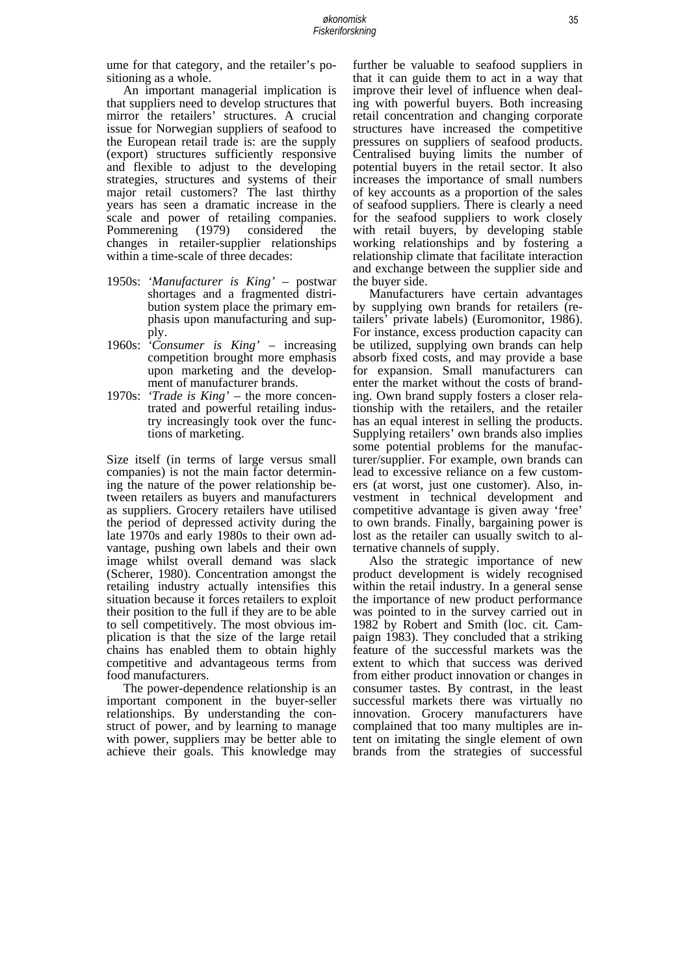ume for that category, and the retailer's positioning as a whole.

 An important managerial implication is that suppliers need to develop structures that mirror the retailers' structures. A crucial issue for Norwegian suppliers of seafood to the European retail trade is: are the supply (export) structures sufficiently responsive and flexible to adjust to the developing strategies, structures and systems of their major retail customers? The last thirthy years has seen a dramatic increase in the scale and power of retailing companies. Pommerening (1979) considered the changes in retailer-supplier relationships within a time-scale of three decades:

- 1950s: *'Manufacturer is King'* postwar shortages and a fragmented distribution system place the primary emphasis upon manufacturing and supply.
- 1960s: *'Consumer is King'* increasing competition brought more emphasis upon marketing and the development of manufacturer brands.
- 1970s: *'Trade is King'* the more concentrated and powerful retailing industry increasingly took over the functions of marketing.

Size itself (in terms of large versus small companies) is not the main factor determining the nature of the power relationship between retailers as buyers and manufacturers as suppliers. Grocery retailers have utilised the period of depressed activity during the late 1970s and early 1980s to their own advantage, pushing own labels and their own image whilst overall demand was slack (Scherer, 1980). Concentration amongst the retailing industry actually intensifies this situation because it forces retailers to exploit their position to the full if they are to be able to sell competitively. The most obvious implication is that the size of the large retail chains has enabled them to obtain highly competitive and advantageous terms from food manufacturers.

 The power-dependence relationship is an important component in the buyer-seller relationships. By understanding the construct of power, and by learning to manage with power, suppliers may be better able to achieve their goals. This knowledge may further be valuable to seafood suppliers in that it can guide them to act in a way that improve their level of influence when dealing with powerful buyers. Both increasing retail concentration and changing corporate structures have increased the competitive pressures on suppliers of seafood products. Centralised buying limits the number of potential buyers in the retail sector. It also increases the importance of small numbers of key accounts as a proportion of the sales of seafood suppliers. There is clearly a need for the seafood suppliers to work closely with retail buyers, by developing stable working relationships and by fostering a relationship climate that facilitate interaction and exchange between the supplier side and the buyer side.

 Manufacturers have certain advantages by supplying own brands for retailers (retailers' private labels) (Euromonitor, 1986). For instance, excess production capacity can be utilized, supplying own brands can help absorb fixed costs, and may provide a base for expansion. Small manufacturers can enter the market without the costs of branding. Own brand supply fosters a closer relationship with the retailers, and the retailer has an equal interest in selling the products. Supplying retailers' own brands also implies some potential problems for the manufacturer/supplier. For example, own brands can lead to excessive reliance on a few customers (at worst, just one customer). Also, investment in technical development and competitive advantage is given away 'free' to own brands. Finally, bargaining power is lost as the retailer can usually switch to alternative channels of supply.

 Also the strategic importance of new product development is widely recognised within the retail industry. In a general sense the importance of new product performance was pointed to in the survey carried out in 1982 by Robert and Smith (loc. cit. Campaign 1983). They concluded that a striking feature of the successful markets was the extent to which that success was derived from either product innovation or changes in consumer tastes. By contrast, in the least successful markets there was virtually no innovation. Grocery manufacturers have complained that too many multiples are intent on imitating the single element of own brands from the strategies of successful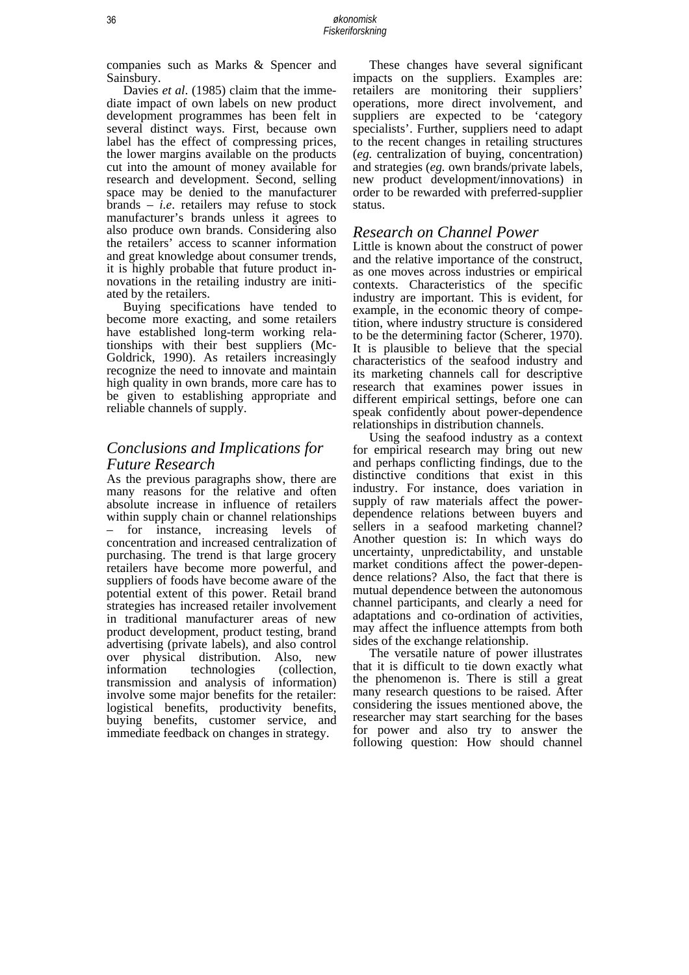companies such as Marks & Spencer and Sainsbury.

 Davies *et al*. (1985) claim that the immediate impact of own labels on new product development programmes has been felt in several distinct ways. First, because own label has the effect of compressing prices, the lower margins available on the products cut into the amount of money available for research and development. Second, selling space may be denied to the manufacturer brands – *i.e*. retailers may refuse to stock manufacturer's brands unless it agrees to also produce own brands. Considering also the retailers' access to scanner information and great knowledge about consumer trends, it is highly probable that future product innovations in the retailing industry are initiated by the retailers.

 Buying specifications have tended to become more exacting, and some retailers have established long-term working relationships with their best suppliers (Mc-Goldrick, 1990). As retailers increasingly recognize the need to innovate and maintain high quality in own brands, more care has to be given to establishing appropriate and reliable channels of supply.

### *Conclusions and Implications for Future Research*

As the previous paragraphs show, there are many reasons for the relative and often absolute increase in influence of retailers within supply chain or channel relationships for instance, increasing levels of concentration and increased centralization of purchasing. The trend is that large grocery retailers have become more powerful, and suppliers of foods have become aware of the potential extent of this power. Retail brand strategies has increased retailer involvement in traditional manufacturer areas of new product development, product testing, brand advertising (private labels), and also control over physical distribution. Also, new information technologies (collection, transmission and analysis of information) involve some major benefits for the retailer: logistical benefits, productivity benefits, buying benefits, customer service, and immediate feedback on changes in strategy.

 These changes have several significant impacts on the suppliers. Examples are: retailers are monitoring their suppliers' operations, more direct involvement, and suppliers are expected to be 'category specialists'. Further, suppliers need to adapt to the recent changes in retailing structures (*eg.* centralization of buying, concentration) and strategies (*eg.* own brands/private labels, new product development/innovations) in order to be rewarded with preferred-supplier status.

#### *Research on Channel Power*

Little is known about the construct of power and the relative importance of the construct, as one moves across industries or empirical contexts. Characteristics of the specific industry are important. This is evident, for example, in the economic theory of competition, where industry structure is considered to be the determining factor (Scherer, 1970). It is plausible to believe that the special characteristics of the seafood industry and its marketing channels call for descriptive research that examines power issues in different empirical settings, before one can speak confidently about power-dependence relationships in distribution channels.

 Using the seafood industry as a context for empirical research may bring out new and perhaps conflicting findings, due to the distinctive conditions that exist in this industry. For instance, does variation in supply of raw materials affect the powerdependence relations between buyers and sellers in a seafood marketing channel? Another question is: In which ways do uncertainty, unpredictability, and unstable market conditions affect the power-dependence relations? Also, the fact that there is mutual dependence between the autonomous channel participants, and clearly a need for adaptations and co-ordination of activities, may affect the influence attempts from both sides of the exchange relationship.

 The versatile nature of power illustrates that it is difficult to tie down exactly what the phenomenon is. There is still a great many research questions to be raised. After considering the issues mentioned above, the researcher may start searching for the bases for power and also try to answer the following question: How should channel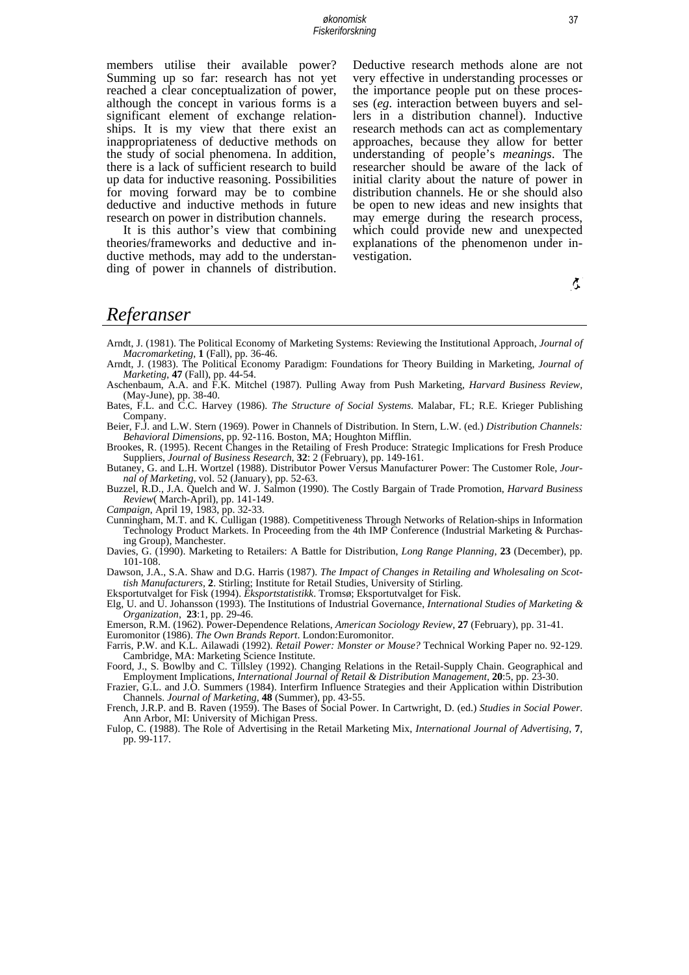members utilise their available power? Summing up so far: research has not yet reached a clear conceptualization of power, although the concept in various forms is a significant element of exchange relationships. It is my view that there exist an inappropriateness of deductive methods on the study of social phenomena. In addition, there is a lack of sufficient research to build up data for inductive reasoning. Possibilities for moving forward may be to combine deductive and inductive methods in future research on power in distribution channels.

It is this author's view that combining theories/frameworks and deductive and inductive methods, may add to the understanding of power in channels of distribution. Deductive research methods alone are not very effective in understanding processes or the importance people put on these processes (*eg.* interaction between buyers and sellers in a distribution channel). Inductive research methods can act as complementary approaches, because they allow for better understanding of people's *meanings*. The researcher should be aware of the lack of initial clarity about the nature of power in distribution channels. He or she should also be open to new ideas and new insights that may emerge during the research process, which could provide new and unexpected explanations of the phenomenon under investigation.

 $\mathfrak{F}_1$ 

### *Referanser*

- Arndt, J. (1981). The Political Economy of Marketing Systems: Reviewing the Institutional Approach, *Journal of Macromarketing*, **1** (Fall), pp. 36-46.
- Arndt, J. (1983). The Political Economy Paradigm: Foundations for Theory Building in Marketing, *Journal of Marketing*, **47** (Fall), pp. 44-54.
- Aschenbaum, A.A. and F.K. Mitchel (1987). Pulling Away from Push Marketing, *Harvard Business Review,* (May-June), pp. 38-40.
- Bates, F.L. and C.C. Harvey (1986). *The Structure of Social Systems*. Malabar, FL; R.E. Krieger Publishing Company.
- Beier, F.J. and L.W. Stern (1969). Power in Channels of Distribution. In Stern, L.W. (ed.) *Distribution Channels: Behavioral Dimensions*, pp. 92-116. Boston, MA; Houghton Mifflin.
- Brookes, R. (1995). Recent Changes in the Retailing of Fresh Produce: Strategic Implications for Fresh Produce Suppliers, *Journal of Business Research*, **32**: 2 (February), pp. 149-161.
- Butaney, G. and L.H. Wortzel (1988). Distributor Power Versus Manufacturer Power: The Customer Role, *Journal of Marketing*, vol. 52 (January), pp. 52-63.
- Buzzel, R.D., J.A. Quelch and W. J. Salmon (1990). The Costly Bargain of Trade Promotion, *Harvard Business Review*( March-April), pp. 141-149.
- *Campaign*, April 19, 1983, pp. 32-33.
- Cunningham, M.T. and K. Culligan (1988). Competitiveness Through Networks of Relation-ships in Information Technology Product Markets. In Proceeding from the 4th IMP Conference (Industrial Marketing & Purchasing Group), Manchester.
- Davies, G. (1990). Marketing to Retailers: A Battle for Distribution, *Long Range Planning*, **23** (December), pp. 101-108.

Dawson, J.A., S.A. Shaw and D.G. Harris (1987). *The Impact of Changes in Retailing and Wholesaling on Scottish Manufacturers,* **2**. Stirling; Institute for Retail Studies, University of Stirling.

Eksportutvalget for Fisk (1994). *Eksportstatistikk*. Tromsø; Eksportutvalget for Fisk.

Elg, U. and U. Johansson (1993). The Institutions of Industrial Governance, *International Studies of Marketing & Organization*, **23**:1, pp. 29-46.

Emerson, R.M. (1962). Power-Dependence Relations, *American Sociology Review*, **27** (February), pp. 31-41.

Euromonitor (1986). *The Own Brands Report*. London:Euromonitor.

- Farris, P.W. and K.L. Ailawadi (1992). *Retail Power: Monster or Mouse?* Technical Working Paper no. 92-129. Cambridge, MA: Marketing Science Institute.
- Foord, J., S. Bowlby and C. Tillsley (1992). Changing Relations in the Retail-Supply Chain. Geographical and Employment Implications, *International Journal of Retail & Distribution Management*, **20**:5, pp. 23-30.
- Frazier, G.L. and J.O. Summers (1984). Interfirm Influence Strategies and their Application within Distribution Channels. *Journal of Marketing*, **48** (Summer), pp. 43-55.
- French, J.R.P. and B. Raven (1959). The Bases of Social Power. In Cartwright, D. (ed.) *Studies in Social Power*. Ann Arbor, MI: University of Michigan Press.
- Fulop, C. (1988). The Role of Advertising in the Retail Marketing Mix, *International Journal of Advertising*, **7**, pp. 99-117.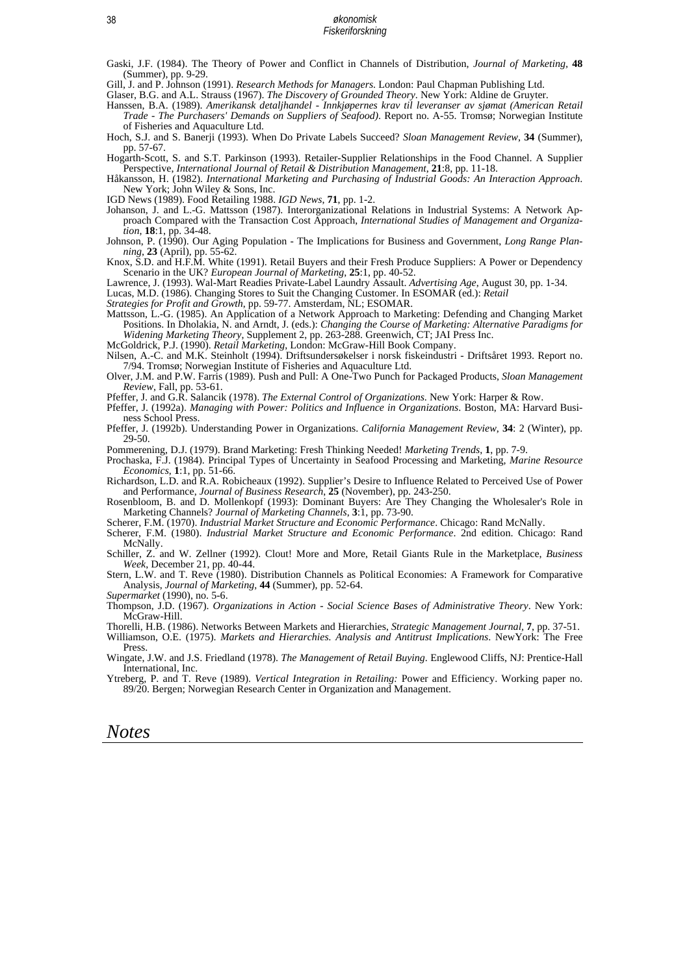Gaski, J.F. (1984). The Theory of Power and Conflict in Channels of Distribution, *Journal of Marketing,* **48** (Summer), pp. 9-29.

Gill, J. and P. Johnson (1991). *Research Methods for Managers*. London: Paul Chapman Publishing Ltd.

Glaser, B.G. and A.L. Strauss (1967). *The Discovery of Grounded Theory*. New York: Aldine de Gruyter.

- Hanssen, B.A. (1989). *Amerikansk detaljhandel Innkjøpernes krav til leveranser av sjømat (American Retail Trade - The Purchasers' Demands on Suppliers of Seafood)*. Report no. A-55. Tromsø; Norwegian Institute of Fisheries and Aquaculture Ltd.
- Hoch, S.J. and S. Banerji (1993). When Do Private Labels Succeed? *Sloan Management Review*, **34** (Summer), pp. 57-67.
- Hogarth-Scott, S. and S.T. Parkinson (1993). Retailer-Supplier Relationships in the Food Channel. A Supplier Perspective, *International Journal of Retail & Distribution Management*, **21**:8, pp. 11-18.
- Håkansson, H. (1982). *International Marketing and Purchasing of Industrial Goods: An Interaction Approach*. New York; John Wiley & Sons, Inc.

IGD News (1989). Food Retailing 1988. *IGD News*, **71**, pp. 1-2.

- Johanson, J. and L.-G. Mattsson (1987). Interorganizational Relations in Industrial Systems: A Network Approach Compared with the Transaction Cost Approach, *International Studies of Management and Organization*, **18**:1, pp. 34-48.
- Johnson, P. (1990). Our Aging Population The Implications for Business and Government, *Long Range Planning*, **23** (April), pp. 55-62.
- Knox, S.D. and H.F.M. White (1991). Retail Buyers and their Fresh Produce Suppliers: A Power or Dependency Scenario in the UK? *European Journal of Marketing*, **25**:1, pp. 40-52.
- Lawrence, J. (1993). Wal-Mart Readies Private-Label Laundry Assault. *Advertising Age*, August 30, pp. 1-34.
- Lucas, M.D. (1986). Changing Stores to Suit the Changing Customer. In ESOMAR (ed.): *Retail*
- *Strategies for Profit and Growth*, pp. 59-77. Amsterdam, NL; ESOMAR.
- Mattsson, L.-G. (1985). An Application of a Network Approach to Marketing: Defending and Changing Market Positions. In Dholakia, N. and Arndt, J. (eds.): *Changing the Course of Marketing: Alternative Paradigms for Widening Marketing Theory*, Supplement 2, pp. 263-288. Greenwich, CT; JAI Press Inc.

McGoldrick, P.J. (1990). *Retail Marketing*, London: McGraw-Hill Book Company.

- Nilsen, A.-C. and M.K. Steinholt (1994). Driftsundersøkelser i norsk fiskeindustri Driftsåret 1993. Report no. 7/94. Tromsø; Norwegian Institute of Fisheries and Aquaculture Ltd.
- Olver, J.M. and P.W. Farris (1989). Push and Pull: A One-Two Punch for Packaged Products, *Sloan Management Review*, Fall, pp. 53-61.

Pfeffer, J. and G.R. Salancik (1978). *The External Control of Organizations*. New York: Harper & Row.

- Pfeffer, J. (1992a). *Managing with Power: Politics and Influence in Organizations*. Boston, MA: Harvard Business School Press.
- Pfeffer, J. (1992b). Understanding Power in Organizations. *California Management Review*, **34**: 2 (Winter), pp. 29-50.

Pommerening, D.J. (1979). Brand Marketing: Fresh Thinking Needed! *Marketing Trends*, **1**, pp. 7-9.

- Prochaska, F.J. (1984). Principal Types of Uncertainty in Seafood Processing and Marketing, *Marine Resource Economics*, **1**:1, pp. 51-66.
- Richardson, L.D. and R.A. Robicheaux (1992). Supplier's Desire to Influence Related to Perceived Use of Power and Performance, *Journal of Business Research*, **25** (November), pp. 243-250.
- Rosenbloom, B. and D. Mollenkopf (1993): Dominant Buyers: Are They Changing the Wholesaler's Role in Marketing Channels? *Journal of Marketing Channels*, **3**:1, pp. 73-90.
- Scherer, F.M. (1970). *Industrial Market Structure and Economic Performance*. Chicago: Rand McNally.
- Scherer, F.M. (1980). *Industrial Market Structure and Economic Performance*. 2nd edition. Chicago: Rand McNally.
- Schiller, Z. and W. Zellner (1992). Clout! More and More, Retail Giants Rule in the Marketplace, *Business Week*, December 21, pp. 40-44.

Stern, L.W. and T. Reve (1980). Distribution Channels as Political Economies: A Framework for Comparative Analysis, *Journal of Marketing*, **44** (Summer), pp. 52-64.

- *Supermarket* (1990), no. 5-6.
- Thompson, J.D. (1967). *Organizations in Action Social Science Bases of Administrative Theory*. New York: McGraw-Hill.
- Thorelli, H.B. (1986). Networks Between Markets and Hierarchies, *Strategic Management Journal,* **7**, pp. 37-51. Williamson, O.E. (1975). *Markets and Hierarchies. Analysis and Antitrust Implications*. NewYork: The Free
- Press. Wingate, J.W. and J.S. Friedland (1978). *The Management of Retail Buying*. Englewood Cliffs, NJ: Prentice-Hall
- International, Inc.
- Ytreberg, P. and T. Reve (1989). *Vertical Integration in Retailing:* Power and Efficiency. Working paper no. 89/20. Bergen; Norwegian Research Center in Organization and Management.

## *Notes*